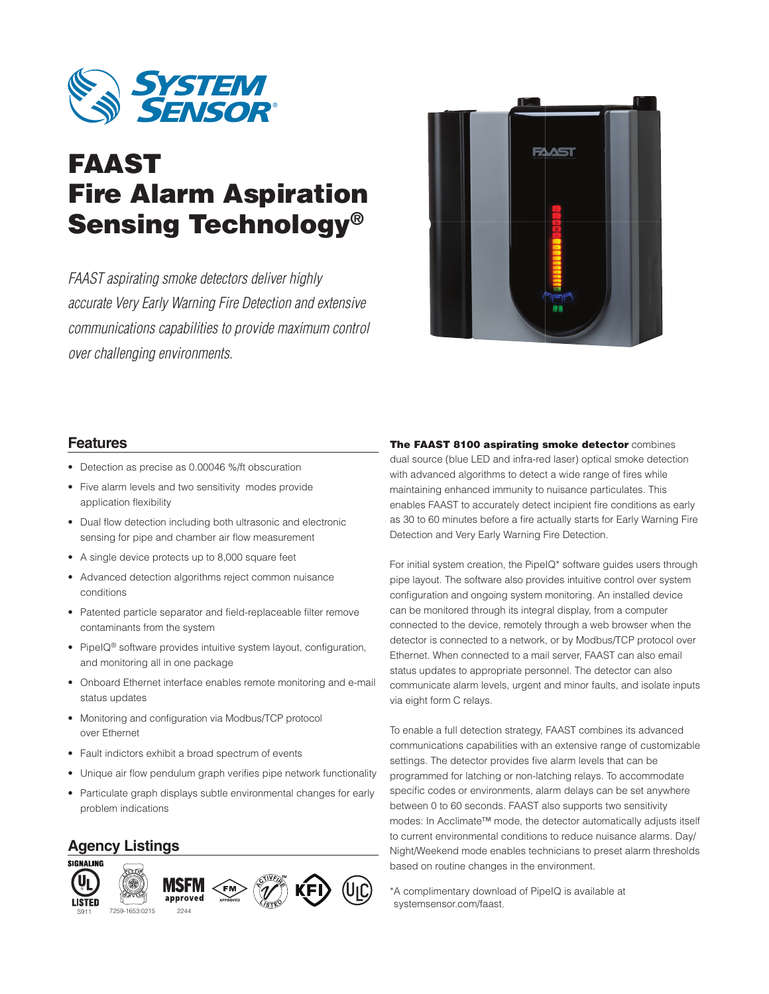

# FAAST Fire Alarm Aspiration Sensing Technology®

*FAAST aspirating smoke detectors deliver highly accurate Very Early Warning Fire Detection and extensive communications capabilities to provide maximum control over challenging environments.*



#### **Features**

- Detection as precise as 0.00046 %/ft obscuration
- Five alarm levels and two sensitivity modes provide application flexibility
- Dual flow detection including both ultrasonic and electronic sensing for pipe and chamber air flow measurement
- A single device protects up to 8,000 square feet
- Advanced detection algorithms reject common nuisance conditions
- Patented particle separator and field-replaceable filter remove contaminants from the system
- PipeIQ<sup>®</sup> software provides intuitive system layout, configuration, and monitoring all in one package
- Onboard Ethernet interface enables remote monitoring and e-mail status updates
- Monitoring and configuration via Modbus/TCP protocol over Ethernet
- Fault indictors exhibit a broad spectrum of events
- Unique air flow pendulum graph verifies pipe network functionality
- Particulate graph displays subtle environmental changes for early problem indications

## **Agency Listings**



The FAAST 8100 aspirating smoke detector combines dual source (blue LED and infra-red laser) optical smoke detection with advanced algorithms to detect a wide range of fires while maintaining enhanced immunity to nuisance particulates. This enables FAAST to accurately detect incipient fire conditions as early as 30 to 60 minutes before a fire actually starts for Early Warning Fire Detection and Very Early Warning Fire Detection.

For initial system creation, the PipeIQ\* software guides users through pipe layout. The software also provides intuitive control over system configuration and ongoing system monitoring. An installed device can be monitored through its integral display, from a computer connected to the device, remotely through a web browser when the detector is connected to a network, or by Modbus/TCP protocol over Ethernet. When connected to a mail server, FAAST can also email status updates to appropriate personnel. The detector can also communicate alarm levels, urgent and minor faults, and isolate inputs via eight form C relays.

To enable a full detection strategy, FAAST combines its advanced communications capabilities with an extensive range of customizable settings. The detector provides five alarm levels that can be programmed for latching or non-latching relays. To accommodate specific codes or environments, alarm delays can be set anywhere between 0 to 60 seconds. FAAST also supports two sensitivity modes: In Acclimate™ mode, the detector automatically adjusts itself to current environmental conditions to reduce nuisance alarms. Day/ Night/Weekend mode enables technicians to preset alarm thresholds based on routine changes in the environment.

\* A complimentary download of PipeIQ is available at